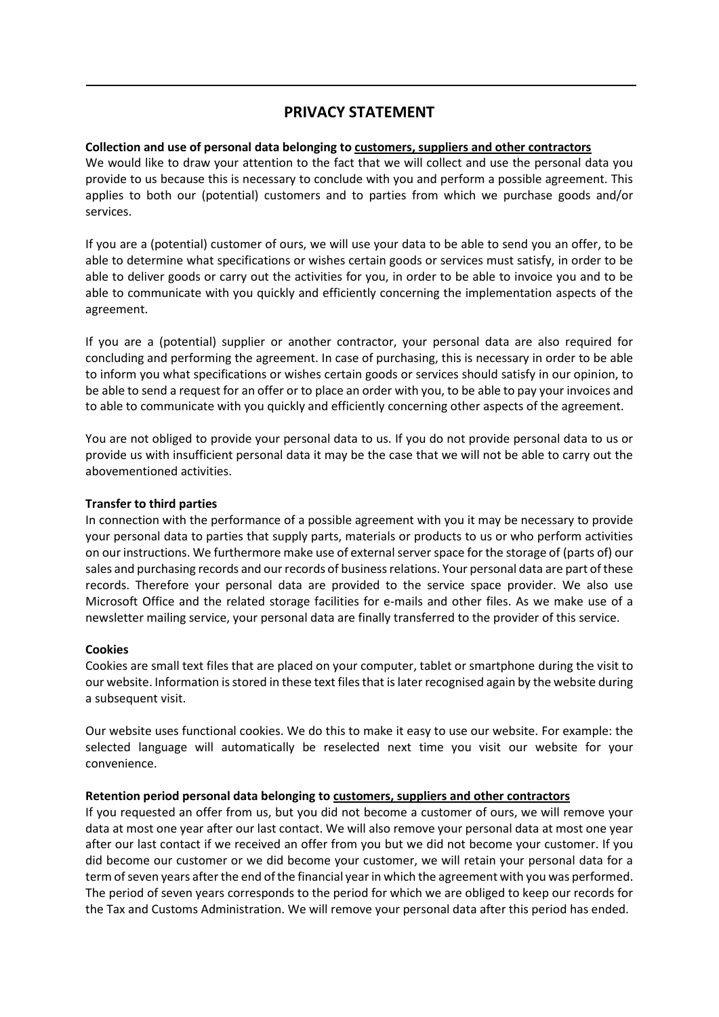# **PRIVACY STATEMENT**

### **Collection and use of personal data belonging to customers, suppliers and other contractors**

We would like to draw your attention to the fact that we will collect and use the personal data you provide to us because this is necessary to conclude with you and perform a possible agreement. This applies to both our (potential) customers and to parties from which we purchase goods and/or services.

If you are a (potential) customer of ours, we will use your data to be able to send you an offer, to be able to determine what specifications or wishes certain goods or services must satisfy, in order to be able to deliver goods or carry out the activities for you, in order to be able to invoice you and to be able to communicate with you quickly and efficiently concerning the implementation aspects of the agreement.

If you are a (potential) supplier or another contractor, your personal data are also required for concluding and performing the agreement. In case of purchasing, this is necessary in order to be able to inform you what specifications or wishes certain goods or services should satisfy in our opinion, to be able to send a request for an offer or to place an order with you, to be able to pay your invoices and to able to communicate with you quickly and efficiently concerning other aspects of the agreement.

You are not obliged to provide your personal data to us. If you do not provide personal data to us or provide us with insufficient personal data it may be the case that we will not be able to carry out the abovementioned activities.

## **Transfer to third parties**

In connection with the performance of a possible agreement with you it may be necessary to provide your personal data to parties that supply parts, materials or products to us or who perform activities on our instructions. We furthermore make use of external server space for the storage of (parts of) our sales and purchasing records and our records of business relations. Your personal data are part of these records. Therefore your personal data are provided to the service space provider. We also use Microsoft Office and the related storage facilities for e-mails and other files. As we make use of a newsletter mailing service, your personal data are finally transferred to the provider of this service.

### **Cookies**

Cookies are small text files that are placed on your computer, tablet or smartphone during the visit to our website. Information is stored in these text files that is later recognised again by the website during a subsequent visit.

Our website uses functional cookies. We do this to make it easy to use our website. For example: the selected language will automatically be reselected next time you visit our website for your convenience.

### **Retention period personal data belonging to customers, suppliers and other contractors**

If you requested an offer from us, but you did not become a customer of ours, we will remove your data at most one year after our last contact. We will also remove your personal data at most one year after our last contact if we received an offer from you but we did not become your customer. If you did become our customer or we did become your customer, we will retain your personal data for a term of seven years after the end of the financial year in which the agreement with you was performed. The period of seven years corresponds to the period for which we are obliged to keep our records for the Tax and Customs Administration. We will remove your personal data after this period has ended.